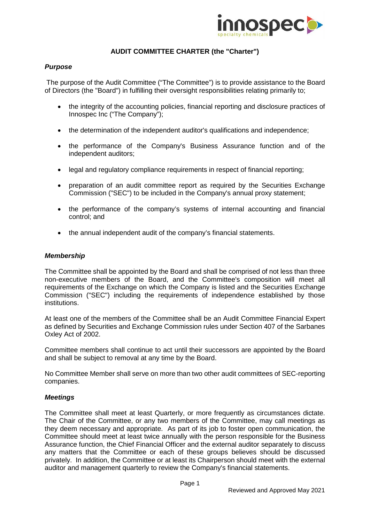

# **AUDIT COMMITTEE CHARTER (the "Charter")**

## *Purpose*

The purpose of the Audit Committee ("The Committee") is to provide assistance to the Board of Directors (the "Board") in fulfilling their oversight responsibilities relating primarily to;

- the integrity of the accounting policies, financial reporting and disclosure practices of Innospec Inc ("The Company");
- the determination of the independent auditor's qualifications and independence;
- the performance of the Company's Business Assurance function and of the independent auditors;
- legal and regulatory compliance requirements in respect of financial reporting;
- preparation of an audit committee report as required by the Securities Exchange Commission ("SEC") to be included in the Company's annual proxy statement;
- the performance of the company's systems of internal accounting and financial control; and
- the annual independent audit of the company's financial statements.

## *Membership*

The Committee shall be appointed by the Board and shall be comprised of not less than three non-executive members of the Board, and the Committee's composition will meet all requirements of the Exchange on which the Company is listed and the Securities Exchange Commission ("SEC") including the requirements of independence established by those institutions.

At least one of the members of the Committee shall be an Audit Committee Financial Expert as defined by Securities and Exchange Commission rules under Section 407 of the Sarbanes Oxley Act of 2002.

Committee members shall continue to act until their successors are appointed by the Board and shall be subject to removal at any time by the Board.

No Committee Member shall serve on more than two other audit committees of SEC-reporting companies.

## *Meetings*

The Committee shall meet at least Quarterly, or more frequently as circumstances dictate. The Chair of the Committee, or any two members of the Committee, may call meetings as they deem necessary and appropriate. As part of its job to foster open communication, the Committee should meet at least twice annually with the person responsible for the Business Assurance function, the Chief Financial Officer and the external auditor separately to discuss any matters that the Committee or each of these groups believes should be discussed privately. In addition, the Committee or at least its Chairperson should meet with the external auditor and management quarterly to review the Company's financial statements.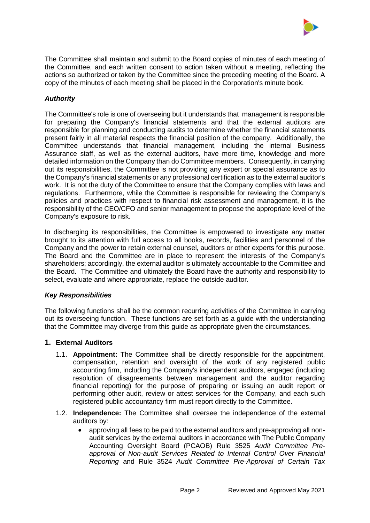

The Committee shall maintain and submit to the Board copies of minutes of each meeting of the Committee, and each written consent to action taken without a meeting, reflecting the actions so authorized or taken by the Committee since the preceding meeting of the Board. A copy of the minutes of each meeting shall be placed in the Corporation's minute book.

## *Authority*

The Committee's role is one of overseeing but it understands that management is responsible for preparing the Company's financial statements and that the external auditors are responsible for planning and conducting audits to determine whether the financial statements present fairly in all material respects the financial position of the company. Additionally, the Committee understands that financial management, including the internal Business Assurance staff, as well as the external auditors, have more time, knowledge and more detailed information on the Company than do Committee members. Consequently, in carrying out its responsibilities, the Committee is not providing any expert or special assurance as to the Company's financial statements or any professional certification as to the external auditor's work. It is not the duty of the Committee to ensure that the Company complies with laws and regulations. Furthermore, while the Committee is responsible for reviewing the Company's policies and practices with respect to financial risk assessment and management, it is the responsibility of the CEO/CFO and senior management to propose the appropriate level of the Company's exposure to risk.

In discharging its responsibilities, the Committee is empowered to investigate any matter brought to its attention with full access to all books, records, facilities and personnel of the Company and the power to retain external counsel, auditors or other experts for this purpose. The Board and the Committee are in place to represent the interests of the Company's shareholders; accordingly, the external auditor is ultimately accountable to the Committee and the Board. The Committee and ultimately the Board have the authority and responsibility to select, evaluate and where appropriate, replace the outside auditor.

## *Key Responsibilities*

The following functions shall be the common recurring activities of the Committee in carrying out its overseeing function. These functions are set forth as a guide with the understanding that the Committee may diverge from this guide as appropriate given the circumstances.

## **1. External Auditors**

- 1.1. **Appointment:** The Committee shall be directly responsible for the appointment, compensation, retention and oversight of the work of any registered public accounting firm, including the Company's independent auditors, engaged (including resolution of disagreements between management and the auditor regarding financial reporting) for the purpose of preparing or issuing an audit report or performing other audit, review or attest services for the Company, and each such registered public accountancy firm must report directly to the Committee.
- 1.2. **Independence:** The Committee shall oversee the independence of the external auditors by:
	- approving all fees to be paid to the external auditors and pre-approving all nonaudit services by the external auditors in accordance with The Public Company Accounting Oversight Board (PCAOB) Rule 3525 *Audit Committee Preapproval of Non-audit Services Related to Internal Control Over Financial Reporting* and Rule 3524 *Audit Committee Pre-Approval of Certain Tax*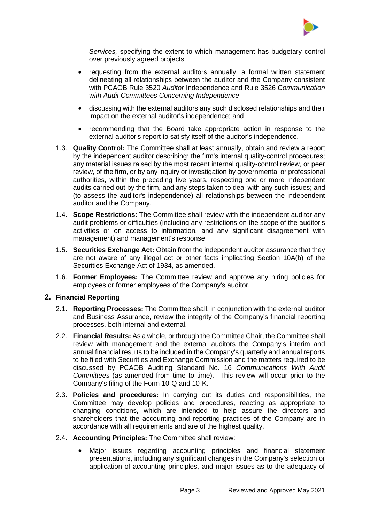

*Services,* specifying the extent to which management has budgetary control over previously agreed projects;

- requesting from the external auditors annually, a formal written statement delineating all relationships between the auditor and the Company consistent with PCAOB Rule 3520 *Auditor* Independence and Rule 3526 *Communication with Audit Committees Concerning Independence*;
- discussing with the external auditors any such disclosed relationships and their impact on the external auditor's independence; and
- recommending that the Board take appropriate action in response to the external auditor's report to satisfy itself of the auditor's independence.
- 1.3. **Quality Control:** The Committee shall at least annually, obtain and review a report by the independent auditor describing: the firm's internal quality-control procedures; any material issues raised by the most recent internal quality-control review, or peer review, of the firm, or by any inquiry or investigation by governmental or professional authorities, within the preceding five years, respecting one or more independent audits carried out by the firm, and any steps taken to deal with any such issues; and (to assess the auditor's independence) all relationships between the independent auditor and the Company.
- 1.4. **Scope Restrictions:** The Committee shall review with the independent auditor any audit problems or difficulties (including any restrictions on the scope of the auditor's activities or on access to information, and any significant disagreement with management) and management's response.
- 1.5. **Securities Exchange Act:** Obtain from the independent auditor assurance that they are not aware of any illegal act or other facts implicating Section 10A(b) of the Securities Exchange Act of 1934, as amended.
- 1.6. **Former Employees:** The Committee review and approve any hiring policies for employees or former employees of the Company's auditor.

## **2. Financial Reporting**

- 2.1. **Reporting Processes:** The Committee shall, in conjunction with the external auditor and Business Assurance, review the integrity of the Company's financial reporting processes, both internal and external.
- 2.2. **Financial Results:** As a whole, or through the Committee Chair, the Committee shall review with management and the external auditors the Company's interim and annual financial results to be included in the Company's quarterly and annual reports to be filed with Securities and Exchange Commission and the matters required to be discussed by PCAOB Auditing Standard No. 16 *Communications With Audit Committees* (as amended from time to time). This review will occur prior to the Company's filing of the Form 10-Q and 10-K.
- 2.3. **Policies and procedures:** In carrying out its duties and responsibilities, the Committee may develop policies and procedures, reacting as appropriate to changing conditions, which are intended to help assure the directors and shareholders that the accounting and reporting practices of the Company are in accordance with all requirements and are of the highest quality.
- 2.4. **Accounting Principles:** The Committee shall review:
	- Major issues regarding accounting principles and financial statement presentations, including any significant changes in the Company's selection or application of accounting principles, and major issues as to the adequacy of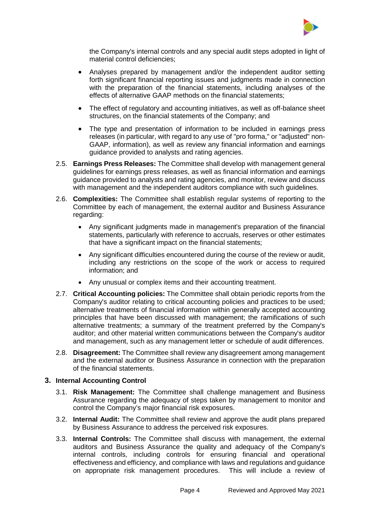

the Company's internal controls and any special audit steps adopted in light of material control deficiencies;

- Analyses prepared by management and/or the independent auditor setting forth significant financial reporting issues and judgments made in connection with the preparation of the financial statements, including analyses of the effects of alternative GAAP methods on the financial statements;
- The effect of regulatory and accounting initiatives, as well as off-balance sheet structures, on the financial statements of the Company; and
- The type and presentation of information to be included in earnings press releases (in particular, with regard to any use of "pro forma," or "adjusted" non-GAAP, information), as well as review any financial information and earnings guidance provided to analysts and rating agencies.
- 2.5. **Earnings Press Releases:** The Committee shall develop with management general guidelines for earnings press releases, as well as financial information and earnings guidance provided to analysts and rating agencies, and monitor, review and discuss with management and the independent auditors compliance with such guidelines.
- 2.6. **Complexities:** The Committee shall establish regular systems of reporting to the Committee by each of management, the external auditor and Business Assurance regarding:
	- Any significant judgments made in management's preparation of the financial statements, particularly with reference to accruals, reserves or other estimates that have a significant impact on the financial statements;
	- Any significant difficulties encountered during the course of the review or audit, including any restrictions on the scope of the work or access to required information; and
	- Any unusual or complex items and their accounting treatment.
- 2.7. **Critical Accounting policies:** The Committee shall obtain periodic reports from the Company's auditor relating to critical accounting policies and practices to be used; alternative treatments of financial information within generally accepted accounting principles that have been discussed with management; the ramifications of such alternative treatments; a summary of the treatment preferred by the Company's auditor; and other material written communications between the Company's auditor and management, such as any management letter or schedule of audit differences.
- 2.8. **Disagreement:** The Committee shall review any disagreement among management and the external auditor or Business Assurance in connection with the preparation of the financial statements.

#### **3. Internal Accounting Control**

- 3.1. **Risk Management:** The Committee shall challenge management and Business Assurance regarding the adequacy of steps taken by management to monitor and control the Company's major financial risk exposures.
- 3.2. **Internal Audit:** The Committee shall review and approve the audit plans prepared by Business Assurance to address the perceived risk exposures.
- 3.3. **Internal Controls:** The Committee shall discuss with management, the external auditors and Business Assurance the quality and adequacy of the Company's internal controls, including controls for ensuring financial and operational effectiveness and efficiency, and compliance with laws and regulations and guidance on appropriate risk management procedures. This will include a review of